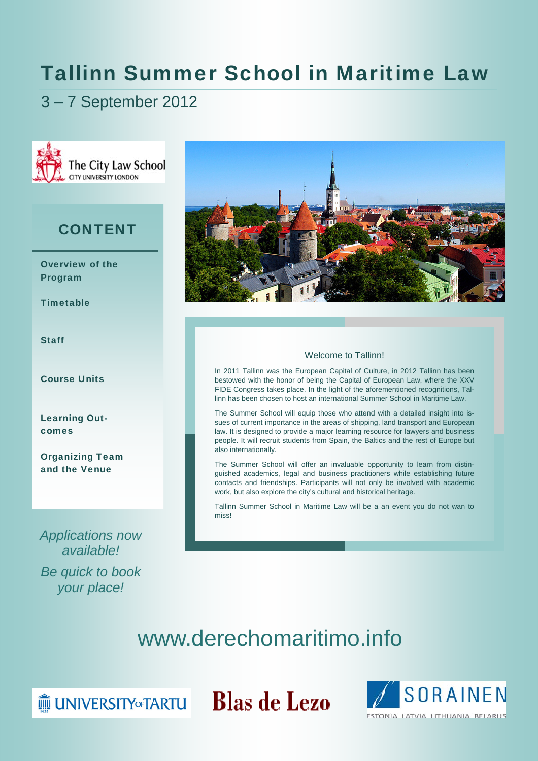# Tallinn Summer School in Maritime Law

3 – 7 September 2012



### **CONTENT**

Overview of the Program

**Timetable** 

Staff

Course Units

Learning Outcomes

Organizing Team and the Venue

*Applications now available! Be quick to book your place!* 



### Welcome to Tallinn!

In 2011 Tallinn was the European Capital of Culture, in 2012 Tallinn has been bestowed with the honor of being the Capital of European Law, where the XXV FIDE Congress takes place. In the light of the aforementioned recognitions, Tallinn has been chosen to host an international Summer School in Maritime Law.

The Summer School will equip those who attend with a detailed insight into issues of current importance in the areas of shipping, land transport and European law. It is designed to provide a major learning resource for lawyers and business people. It will recruit students from Spain, the Baltics and the rest of Europe but also internationally.

The Summer School will offer an invaluable opportunity to learn from distinguished academics, legal and business practitioners while establishing future contacts and friendships. Participants will not only be involved with academic work, but also explore the city's cultural and historical heritage.

Tallinn Summer School in Maritime Law will be a an event you do not wan to miss!



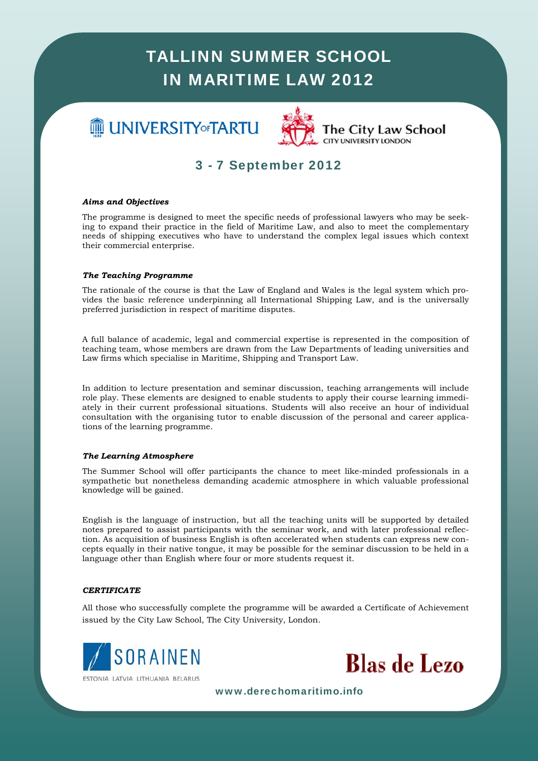# **III** UNIVERSITY or TARTU



### The City Law School **CITY UNIVERSITY LONDON**

## 3 - 7 September 2012

### *Aims and Objectives*

The programme is designed to meet the specific needs of professional lawyers who may be seeking to expand their practice in the field of Maritime Law, and also to meet the complementary needs of shipping executives who have to understand the complex legal issues which context their commercial enterprise.

### *The Teaching Programme*

The rationale of the course is that the Law of England and Wales is the legal system which provides the basic reference underpinning all International Shipping Law, and is the universally preferred jurisdiction in respect of maritime disputes.

A full balance of academic, legal and commercial expertise is represented in the composition of teaching team, whose members are drawn from the Law Departments of leading universities and Law firms which specialise in Maritime, Shipping and Transport Law.

In addition to lecture presentation and seminar discussion, teaching arrangements will include role play. These elements are designed to enable students to apply their course learning immediately in their current professional situations. Students will also receive an hour of individual consultation with the organising tutor to enable discussion of the personal and career applications of the learning programme.

#### *The Learning Atmosphere*

like-minded professionals in<br>in which valuable profession<br> $\mu$ The Summer School will offer participants the chance to meet like-minded professionals in a sympathetic but nonetheless demanding academic atmosphere in which valuable professional knowledge will be gained.

English is the language of instruction, but all the teaching units will be supported by detailed *porate International* publica tion. As acquisition of business English is often accelerated when students can express new concepts equally in their native tongue, it may be possible for the seminar discussion to be held in a language other than English where four or more students request it. notes prepared to assist participants with the seminar work, and with later professional reflec-

### *CERTIFICATE*

All those who successfully complete the programme will be awarded a Certificate of Achievement issued by the City Law School, The City University, London.



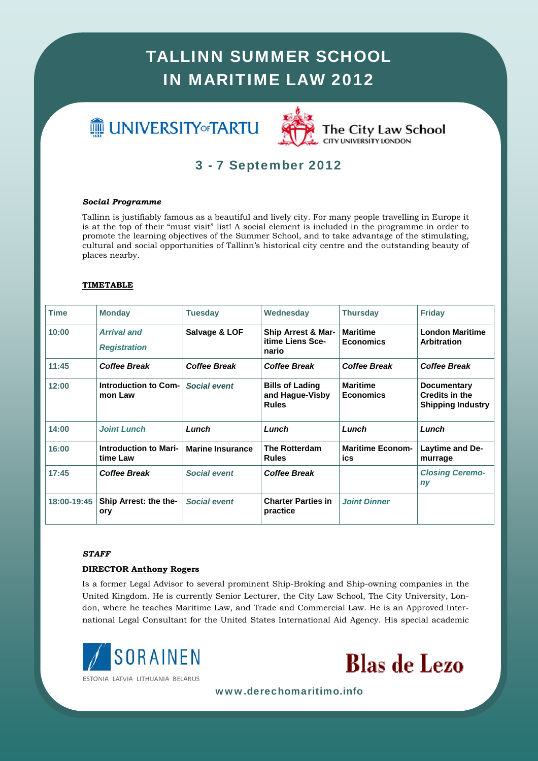# **III** UNIVERSITY of TARTU



## 3 - 7 September 2012

### *Social Programme*

Tallinn is justifiably famous as a beautiful and lively city. For many people travelling in Europe it is at the top of their "must visit" list! A social element is included in the programme in order to promote the learning objectives of the Summer School, and to take advantage of the stimulating, cultural and social opportunities of Tallinn's historical city centre and the outstanding beauty of places nearby.

### **TIMETABLE**

| <b>Time</b> | <b>Monday</b>                             | <b>Tuesday</b>          | Wednesday                                                 | <b>Thursday</b>                     | <b>Friday</b>                                                           |
|-------------|-------------------------------------------|-------------------------|-----------------------------------------------------------|-------------------------------------|-------------------------------------------------------------------------|
| 10:00       | <b>Arrival and</b><br><b>Registration</b> | Salvage & LOF           | Ship Arrest & Mar-<br>itime Liens Sce-<br>nario           | <b>Maritime</b><br><b>Economics</b> | <b>London Maritime</b><br><b>Arbitration</b>                            |
| 11:45       | <b>Coffee Break</b>                       | <b>Coffee Break</b>     | Coffee Break                                              | <b>Coffee Break</b>                 | <b>Coffee Break</b>                                                     |
| 12:00       | Introduction to Com-<br>mon Law           | <b>Social event</b>     | <b>Bills of Lading</b><br>and Hague-Visby<br><b>Rules</b> | <b>Maritime</b><br><b>Economics</b> | <b>Documentary</b><br><b>Credits in the</b><br><b>Shipping Industry</b> |
| 14:00       | <b>Joint Lunch</b>                        | Lunch                   | Lunch                                                     | Lunch                               | Lunch                                                                   |
| 16:00       | <b>Introduction to Mari-</b><br>time Law  | <b>Marine Insurance</b> | <b>The Rotterdam</b><br><b>Rules</b>                      | <b>Maritime Econom-</b><br>ics      | Laytime and De-<br>murrage                                              |
| 17:45       | <b>Coffee Break</b>                       | <b>Social event</b>     | <b>Coffee Break</b>                                       |                                     | <b>Closing Ceremo-</b><br>ny                                            |
| 18:00-19:45 | Ship Arrest: the the-<br>ory              | <b>Social event</b>     | <b>Charter Parties in</b><br>practice                     | <b>Joint Dinner</b>                 |                                                                         |

#### *STAFF*

### **DIRECTOR Anthony Rogers**

Is a former Legal Advisor to several prominent Ship-Broking and Ship-owning companies in the United Kingdom. He is currently Senior Lecturer, the City Law School, The City University, London, where he teaches Maritime Law, and Trade and Commercial Law. He is an Approved International Legal Consultant for the United States International Aid Agency. His special academic



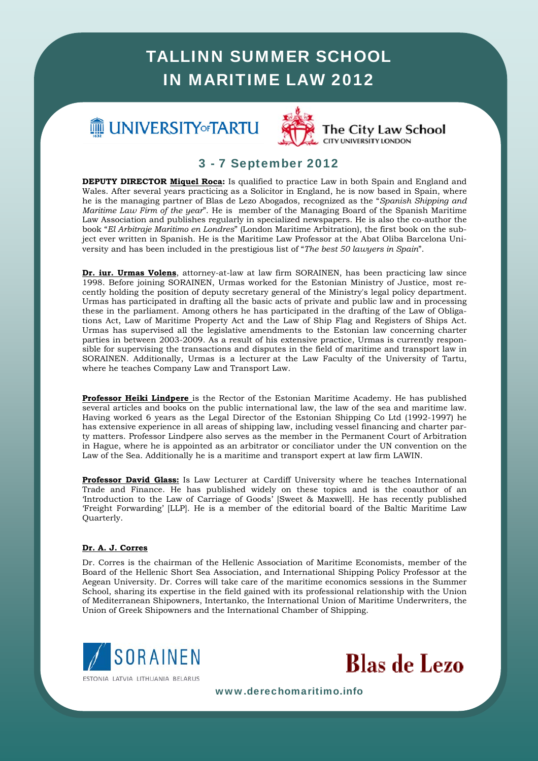# **IE UNIVERSITY** of TARTU



### The City Law School **CITY UNIVERSITY LONDON**

### 3 - 7 September 2012

**DEPUTY DIRECTOR Miquel Roca:** Is qualified to practice Law in both Spain and England and Wales. After several years practicing as a Solicitor in England, he is now based in Spain, where he is the managing partner of Blas de Lezo Abogados, recognized as the "*Spanish Shipping and Maritime Law Firm of the year*". He is member of the Managing Board of the Spanish Maritime Law Association and publishes regularly in specialized newspapers. He is also the co-author the book "*El Arbitraje Maritimo en Londres*" (London Maritime Arbitration), the first book on the subject ever written in Spanish. He is the Maritime Law Professor at the Abat Oliba Barcelona University and has been included in the prestigious list of "*The best 50 lawyers in Spain*".

**Dr. iur. Urmas Volens**, attorney-at-law at law firm SORAINEN, has been practicing law since 1998. Before joining SORAINEN, Urmas worked for the Estonian Ministry of Justice, most recently holding the position of deputy secretary general of the Ministry's legal policy department. Urmas has participated in drafting all the basic acts of private and public law and in processing these in the parliament. Among others he has participated in the drafting of the Law of Obligations Act, Law of Maritime Property Act and the Law of Ship Flag and Registers of Ships Act. Urmas has supervised all the legislative amendments to the Estonian law concerning charter parties in between 2003-2009. As a result of his extensive practice, Urmas is currently responsible for supervising the transactions and disputes in the field of maritime and transport law in SORAINEN. Additionally, Urmas is a lecturer at the Law Faculty of the University of Tartu, where he teaches Company Law and Transport Law.

**Professor Heiki Lindpere** is the Rector of the Estonian Maritime Academy. He has published several articles and books on the public international law, the law of the sea and maritime law. Having worked 6 years as the Legal Director of the Estonian Shipping Co Ltd (1992-1997) he has extensive experience in all areas of shipping law, including vessel financing and charter party matters. Professor Lindpere also serves as the member in the Permanent Court of Arbitration in Hague, where he is appointed as an arbitrator or conciliator under the UN convention on the Law of the Sea. Additionally he is a maritime and transport expert at law firm LAWIN.

where he teaches Internation<br>*x* and is the coauthor of a<br>ell]. He has recently publish<br>ard of the Baltic Maritime La Trade and Finance. He has published widely on these topics and is the coauthor of an Introduction to the Law of Carriage of Goods' [Sweet & Maxwell]. He has recently published 'Freight Forwarding' [LLP]. He is a member of the editorial board of the Baltic Maritime Law **Professor David Glass:** Is Law Lecturer at Cardiff University where he teaches International Quarterly.

### **Dr. A. J. Corres**

Dr. Corres is the chairman of the Hellenic Association of Maritime Economists, member of the Board of the Hellenic Short Sea Association, and International Shipping Policy Professor at the ragear emperiently. But certed with tame care of the matrial coefficients economics in the cultural School, sharing its expertise in the field gained with its professional relationship with the Union of Mediterranean Shipowners, Intertanko, the International Union of Maritime Underwriters, the Union of Greek Shipowners and the International Chamber of Shipping. Aegean University. Dr. Corres will take care of the maritime economics sessions in the Summer



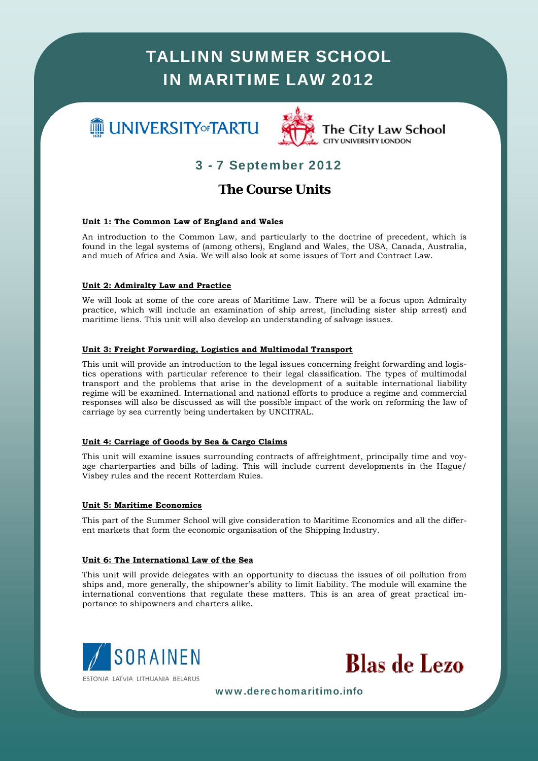# **III** UNIVERSITY of TARTU



### The City Law School **CITY UNIVERSITY LONDON**

## 3 - 7 September 2012

### **The Course Units**

### **Unit 1: The Common Law of England and Wales**

An introduction to the Common Law, and particularly to the doctrine of precedent, which is found in the legal systems of (among others), England and Wales, the USA, Canada, Australia, and much of Africa and Asia. We will also look at some issues of Tort and Contract Law.

### **Unit 2: Admiralty Law and Practice**

We will look at some of the core areas of Maritime Law. There will be a focus upon Admiralty practice, which will include an examination of ship arrest, (including sister ship arrest) and maritime liens. This unit will also develop an understanding of salvage issues.

### **Unit 3: Freight Forwarding, Logistics and Multimodal Transport**

This unit will provide an introduction to the legal issues concerning freight forwarding and logistics operations with particular reference to their legal classification. The types of multimodal transport and the problems that arise in the development of a suitable international liability regime will be examined. International and national efforts to produce a regime and commercial responses will also be discussed as will the possible impact of the work on reforming the law of carriage by sea currently being undertaken by UNCITRAL.

### **Unit 4: Carriage of Goods by Sea & Cargo Claims**

*M*<sup>*M*</sup> *M*<sup>*M*</sup> *M*<sup>*M*</sup> *M*<sup>*M*</sup> *M*<sup>*M*</sup> *M*<sup>*M*</sup> *M*<sup>*M*</sup> *M*<sup>*M*</sup> *M*<sup>*M*</sup> *M*<sup>*M*</sup> *M*<sup>*M*</sup> *M*<sup>*M*</sup> *M*<sup>*M*</sup> *M*<sup>*M*</sup> *M*<sup>*M*</sup> *M*<sup>*M*</sup> *M*<sup>*M*</sup> *M*<sup>*M*</sup> *M*<sup>*M*</sup> *M*<sup>*M*</sup> *M*<sup>*M*</sup> *M*<sup>*M*</sup> *M*<sup>*M*</sup> *M*<sup>*M*</sup> *M*<sup>*M</sup>* This unit will examine issues surrounding contracts of affreightment, principally time and voyage charterparties and bills of lading. This will include current developments in the Hague/ Visbey rules and the recent Rotterdam Rules.

### **Unit 5: Maritime Economics**

This part of the Summer School will give consideration to Maritime Economics and all the differ*porate International* publica ent markets that form the economic organisation of the Shipping Industry.

### **Unit 6: The International Law of the Sea**

This unit will provide delegates with an opportunity to discuss the issues of oil pollution from ships and, more generally, the shipowner's ability to limit liability. The module will examine the international conventions that regulate these matters. This is an area of great practical im-<br>portance to shipowners and charters alike portance to shipowners and charters alike.



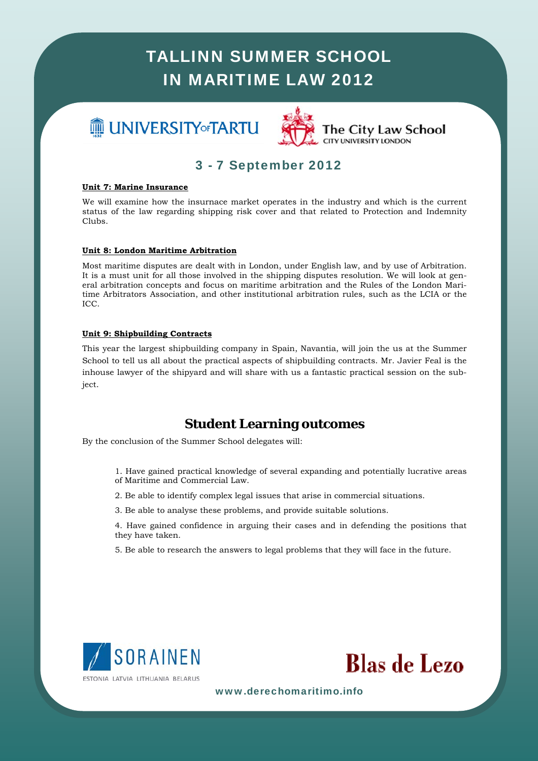# **III** UNIVERSITY of TARTU



### 3 - 7 September 2012

### **Unit 7: Marine Insurance**

We will examine how the insurnace market operates in the industry and which is the current status of the law regarding shipping risk cover and that related to Protection and Indemnity Clubs.

### **Unit 8: London Maritime Arbitration**

Most maritime disputes are dealt with in London, under English law, and by use of Arbitration. It is a must unit for all those involved in the shipping disputes resolution. We will look at general arbitration concepts and focus on maritime arbitration and the Rules of the London Maritime Arbitrators Association, and other institutional arbitration rules, such as the LCIA or the ICC.

#### **Unit 9: Shipbuilding Contracts**

This year the largest shipbuilding company in Spain, Navantia, will join the us at the Summer School to tell us all about the practical aspects of shipbuilding contracts. Mr. Javier Feal is the inhouse lawyer of the shipyard and will share with us a fantastic practical session on the subject.

### **Student Learning outcomes**

By the conclusion of the Summer School delegates will:

- *A* and potentially lucrative are<br>
demonstrations.<br> **Maturity** 1. Have gained practical knowledge of several expanding and potentially lucrative areas of Maritime and Commercial Law.
- Socio Director, ha 2. Be able to identify complex legal issues that arise in commercial situations.
- 3. Be able to analyse these problems, and provide suitable solutions.

*Lawyers in Spain*" que *The Cor-*4. Have gained confidence in arguing their cases and in defending the positions that they have taken.

5. Be able to research the answers to legal problems that they will face in the future.